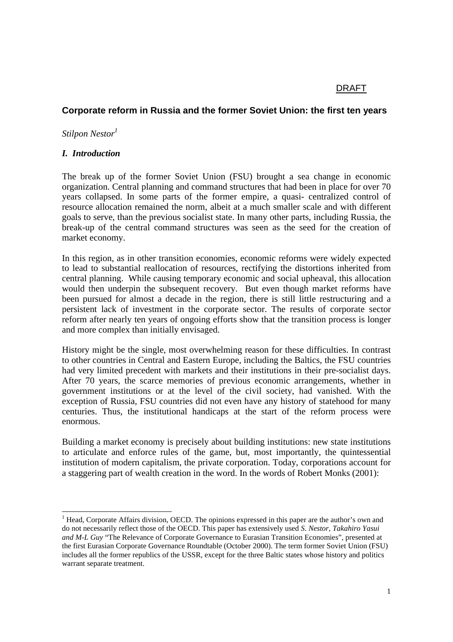## DRAFT

# **Corporate reform in Russia and the former Soviet Union: the first ten years**

*Stilpon Nestor*<sup>1</sup>

#### *I. Introduction*

The break up of the former Soviet Union (FSU) brought a sea change in economic organization. Central planning and command structures that had been in place for over 70 years collapsed. In some parts of the former empire, a quasi- centralized control of resource allocation remained the norm, albeit at a much smaller scale and with different goals to serve, than the previous socialist state. In many other parts, including Russia, the break-up of the central command structures was seen as the seed for the creation of market economy.

In this region, as in other transition economies, economic reforms were widely expected to lead to substantial reallocation of resources, rectifying the distortions inherited from central planning. While causing temporary economic and social upheaval, this allocation would then underpin the subsequent recovery. But even though market reforms have been pursued for almost a decade in the region, there is still little restructuring and a persistent lack of investment in the corporate sector. The results of corporate sector reform after nearly ten years of ongoing efforts show that the transition process is longer and more complex than initially envisaged.

History might be the single, most overwhelming reason for these difficulties. In contrast to other countries in Central and Eastern Europe, including the Baltics, the FSU countries had very limited precedent with markets and their institutions in their pre-socialist days. After 70 years, the scarce memories of previous economic arrangements, whether in government institutions or at the level of the civil society, had vanished. With the exception of Russia, FSU countries did not even have any history of statehood for many centuries. Thus, the institutional handicaps at the start of the reform process were enormous.

Building a market economy is precisely about building institutions: new state institutions to articulate and enforce rules of the game, but, most importantly, the quintessential institution of modern capitalism, the private corporation. Today, corporations account for a staggering part of wealth creation in the word. In the words of Robert Monks (2001):

 $<sup>1</sup>$  Head, Corporate Affairs division, OECD. The opinions expressed in this paper are the author's own and</sup> do not necessarily reflect those of the OECD. This paper has extensively used *S. Nestor, Takahiro Yasui and M-L Guy* "The Relevance of Corporate Governance to Eurasian Transition Economies", presented at the first Eurasian Corporate Governance Roundtable (October 2000). The term former Soviet Union (FSU) includes all the former republics of the USSR, except for the three Baltic states whose history and politics warrant separate treatment.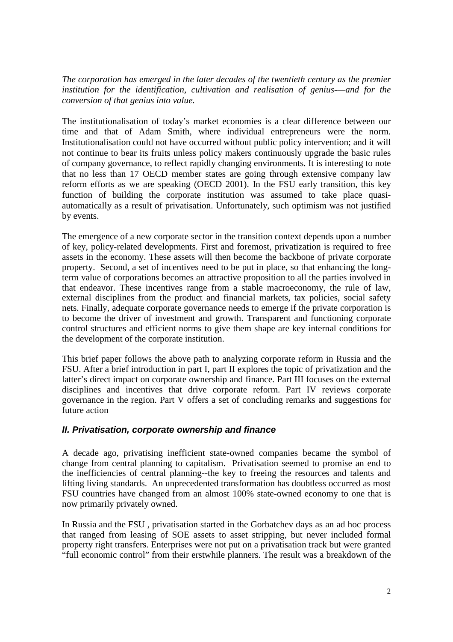*The corporation has emerged in the later decades of the twentieth century as the premier institution for the identification, cultivation and realisation of genius-—and for the conversion of that genius into value.*

The institutionalisation of today's market economies is a clear difference between our time and that of Adam Smith, where individual entrepreneurs were the norm. Institutionalisation could not have occurred without public policy intervention; and it will not continue to bear its fruits unless policy makers continuously upgrade the basic rules of company governance, to reflect rapidly changing environments. It is interesting to note that no less than 17 OECD member states are going through extensive company law reform efforts as we are speaking (OECD 2001). In the FSU early transition, this key function of building the corporate institution was assumed to take place quasiautomatically as a result of privatisation. Unfortunately, such optimism was not justified by events.

The emergence of a new corporate sector in the transition context depends upon a number of key, policy-related developments. First and foremost, privatization is required to free assets in the economy. These assets will then become the backbone of private corporate property. Second, a set of incentives need to be put in place, so that enhancing the longterm value of corporations becomes an attractive proposition to all the parties involved in that endeavor. These incentives range from a stable macroeconomy, the rule of law, external disciplines from the product and financial markets, tax policies, social safety nets. Finally, adequate corporate governance needs to emerge if the private corporation is to become the driver of investment and growth. Transparent and functioning corporate control structures and efficient norms to give them shape are key internal conditions for the development of the corporate institution.

This brief paper follows the above path to analyzing corporate reform in Russia and the FSU. After a brief introduction in part I, part II explores the topic of privatization and the latter's direct impact on corporate ownership and finance. Part III focuses on the external disciplines and incentives that drive corporate reform. Part IV reviews corporate governance in the region. Part V offers a set of concluding remarks and suggestions for future action

# **II. Privatisation, corporate ownership and finance**

A decade ago, privatising inefficient state-owned companies became the symbol of change from central planning to capitalism. Privatisation seemed to promise an end to the inefficiencies of central planning--the key to freeing the resources and talents and lifting living standards. An unprecedented transformation has doubtless occurred as most FSU countries have changed from an almost 100% state-owned economy to one that is now primarily privately owned.

In Russia and the FSU , privatisation started in the Gorbatchev days as an ad hoc process that ranged from leasing of SOE assets to asset stripping, but never included formal property right transfers. Enterprises were not put on a privatisation track but were granted "full economic control" from their erstwhile planners. The result was a breakdown of the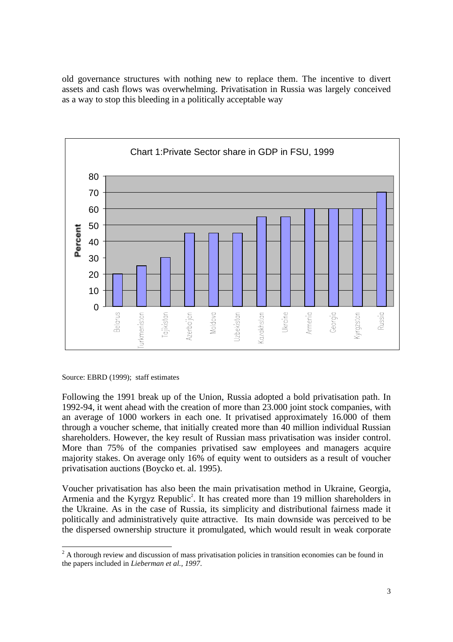old governance structures with nothing new to replace them. The incentive to divert assets and cash flows was overwhelming. Privatisation in Russia was largely conceived as a way to stop this bleeding in a politically acceptable way



Source: EBRD (1999); staff estimates

Following the 1991 break up of the Union, Russia adopted a bold privatisation path. In 1992-94, it went ahead with the creation of more than 23.000 joint stock companies, with an average of 1000 workers in each one. It privatised approximately 16.000 of them through a voucher scheme, that initially created more than 40 million individual Russian shareholders. However, the key result of Russian mass privatisation was insider control. More than 75% of the companies privatised saw employees and managers acquire majority stakes. On average only 16% of equity went to outsiders as a result of voucher privatisation auctions (Boycko et. al. 1995).

Voucher privatisation has also been the main privatisation method in Ukraine, Georgia, Armenia and the Kyrgyz Republic<sup>2</sup>. It has created more than 19 million shareholders in the Ukraine. As in the case of Russia, its simplicity and distributional fairness made it politically and administratively quite attractive. Its main downside was perceived to be the dispersed ownership structure it promulgated, which would result in weak corporate

<sup>&</sup>lt;sup>2</sup> A thorough review and discussion of mass privatisation policies in transition economies can be found in the papers included in *Lieberman et al., 1997*.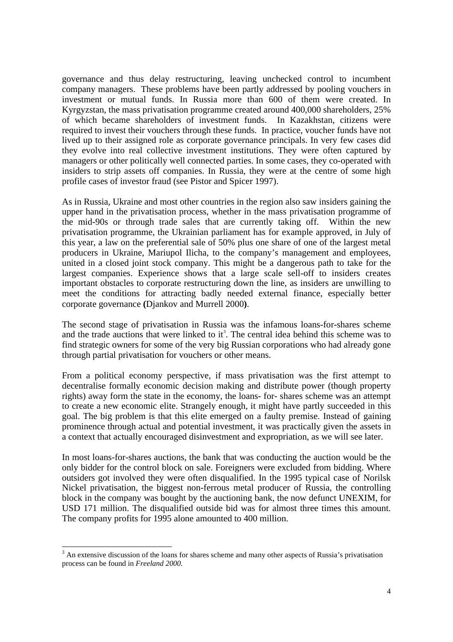governance and thus delay restructuring, leaving unchecked control to incumbent company managers. These problems have been partly addressed by pooling vouchers in investment or mutual funds. In Russia more than 600 of them were created. In Kyrgyzstan, the mass privatisation programme created around 400,000 shareholders, 25% of which became shareholders of investment funds. In Kazakhstan, citizens were required to invest their vouchers through these funds. In practice, voucher funds have not lived up to their assigned role as corporate governance principals. In very few cases did they evolve into real collective investment institutions. They were often captured by managers or other politically well connected parties. In some cases, they co-operated with insiders to strip assets off companies. In Russia, they were at the centre of some high profile cases of investor fraud (see Pistor and Spicer 1997).

As in Russia, Ukraine and most other countries in the region also saw insiders gaining the upper hand in the privatisation process, whether in the mass privatisation programme of the mid-90s or through trade sales that are currently taking off. Within the new privatisation programme, the Ukrainian parliament has for example approved, in July of this year, a law on the preferential sale of 50% plus one share of one of the largest metal producers in Ukraine, Mariupol Ilicha, to the company's management and employees, united in a closed joint stock company. This might be a dangerous path to take for the largest companies. Experience shows that a large scale sell-off to insiders creates important obstacles to corporate restructuring down the line, as insiders are unwilling to meet the conditions for attracting badly needed external finance, especially better corporate governance **(**Djankov and Murrell 2000**)**.

The second stage of privatisation in Russia was the infamous loans-for-shares scheme and the trade auctions that were linked to  $it^3$ . The central idea behind this scheme was to find strategic owners for some of the very big Russian corporations who had already gone through partial privatisation for vouchers or other means.

From a political economy perspective, if mass privatisation was the first attempt to decentralise formally economic decision making and distribute power (though property rights) away form the state in the economy, the loans- for- shares scheme was an attempt to create a new economic elite. Strangely enough, it might have partly succeeded in this goal. The big problem is that this elite emerged on a faulty premise. Instead of gaining prominence through actual and potential investment, it was practically given the assets in a context that actually encouraged disinvestment and expropriation, as we will see later.

In most loans-for-shares auctions, the bank that was conducting the auction would be the only bidder for the control block on sale. Foreigners were excluded from bidding. Where outsiders got involved they were often disqualified. In the 1995 typical case of Norilsk Nickel privatisation, the biggest non-ferrous metal producer of Russia, the controlling block in the company was bought by the auctioning bank, the now defunct UNEXIM, for USD 171 million. The disqualified outside bid was for almost three times this amount. The company profits for 1995 alone amounted to 400 million.

<sup>&</sup>lt;sup>3</sup> An extensive discussion of the loans for shares scheme and many other aspects of Russia's privatisation process can be found in *Freeland 2000.*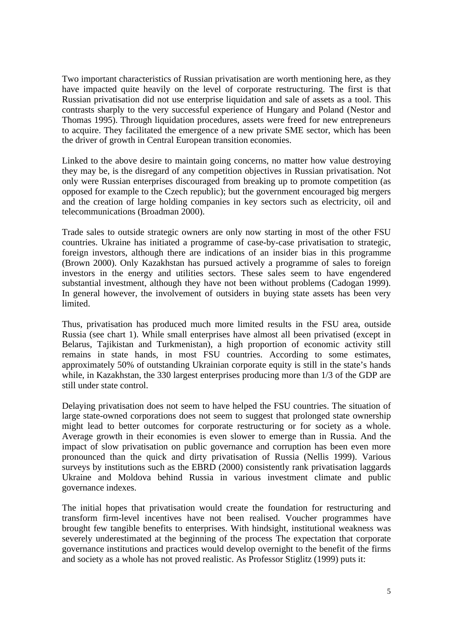Two important characteristics of Russian privatisation are worth mentioning here, as they have impacted quite heavily on the level of corporate restructuring. The first is that Russian privatisation did not use enterprise liquidation and sale of assets as a tool. This contrasts sharply to the very successful experience of Hungary and Poland (Nestor and Thomas 1995). Through liquidation procedures, assets were freed for new entrepreneurs to acquire. They facilitated the emergence of a new private SME sector, which has been the driver of growth in Central European transition economies.

Linked to the above desire to maintain going concerns, no matter how value destroying they may be, is the disregard of any competition objectives in Russian privatisation. Not only were Russian enterprises discouraged from breaking up to promote competition (as opposed for example to the Czech republic); but the government encouraged big mergers and the creation of large holding companies in key sectors such as electricity, oil and telecommunications (Broadman 2000).

Trade sales to outside strategic owners are only now starting in most of the other FSU countries. Ukraine has initiated a programme of case-by-case privatisation to strategic, foreign investors, although there are indications of an insider bias in this programme (Brown 2000). Only Kazakhstan has pursued actively a programme of sales to foreign investors in the energy and utilities sectors. These sales seem to have engendered substantial investment, although they have not been without problems (Cadogan 1999). In general however, the involvement of outsiders in buying state assets has been very limited.

Thus, privatisation has produced much more limited results in the FSU area, outside Russia (see chart 1). While small enterprises have almost all been privatised (except in Belarus, Tajikistan and Turkmenistan), a high proportion of economic activity still remains in state hands, in most FSU countries. According to some estimates, approximately 50% of outstanding Ukrainian corporate equity is still in the state's hands while, in Kazakhstan, the 330 largest enterprises producing more than 1/3 of the GDP are still under state control.

Delaying privatisation does not seem to have helped the FSU countries. The situation of large state-owned corporations does not seem to suggest that prolonged state ownership might lead to better outcomes for corporate restructuring or for society as a whole. Average growth in their economies is even slower to emerge than in Russia. And the impact of slow privatisation on public governance and corruption has been even more pronounced than the quick and dirty privatisation of Russia (Nellis 1999). Various surveys by institutions such as the EBRD (2000) consistently rank privatisation laggards Ukraine and Moldova behind Russia in various investment climate and public governance indexes.

The initial hopes that privatisation would create the foundation for restructuring and transform firm-level incentives have not been realised. Voucher programmes have brought few tangible benefits to enterprises. With hindsight, institutional weakness was severely underestimated at the beginning of the process The expectation that corporate governance institutions and practices would develop overnight to the benefit of the firms and society as a whole has not proved realistic. As Professor Stiglitz (1999) puts it: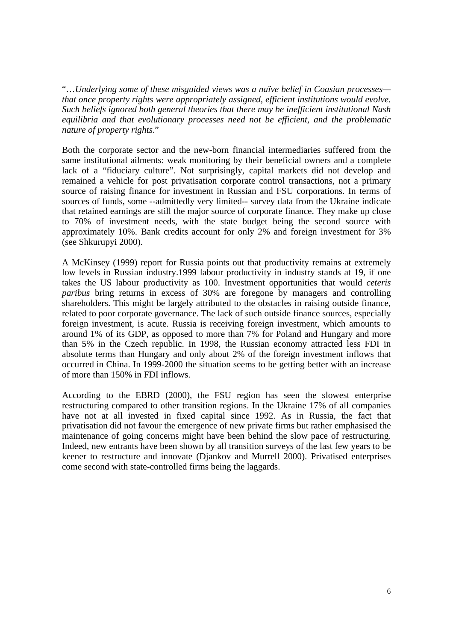"…*Underlying some of these misguided views was a naïve belief in Coasian processes that once property rights were appropriately assigned, efficient institutions would evolve. Such beliefs ignored both general theories that there may be inefficient institutional Nash equilibria and that evolutionary processes need not be efficient, and the problematic nature of property rights*."

Both the corporate sector and the new-born financial intermediaries suffered from the same institutional ailments: weak monitoring by their beneficial owners and a complete lack of a "fiduciary culture". Not surprisingly, capital markets did not develop and remained a vehicle for post privatisation corporate control transactions, not a primary source of raising finance for investment in Russian and FSU corporations. In terms of sources of funds, some --admittedly very limited-- survey data from the Ukraine indicate that retained earnings are still the major source of corporate finance. They make up close to 70% of investment needs, with the state budget being the second source with approximately 10%. Bank credits account for only 2% and foreign investment for 3% (see Shkurupyi 2000).

A McKinsey (1999) report for Russia points out that productivity remains at extremely low levels in Russian industry.1999 labour productivity in industry stands at 19, if one takes the US labour productivity as 100. Investment opportunities that would *ceteris paribus* bring returns in excess of 30% are foregone by managers and controlling shareholders. This might be largely attributed to the obstacles in raising outside finance, related to poor corporate governance. The lack of such outside finance sources, especially foreign investment, is acute. Russia is receiving foreign investment, which amounts to around 1% of its GDP, as opposed to more than 7% for Poland and Hungary and more than 5% in the Czech republic. In 1998, the Russian economy attracted less FDI in absolute terms than Hungary and only about 2% of the foreign investment inflows that occurred in China. In 1999-2000 the situation seems to be getting better with an increase of more than 150% in FDI inflows.

According to the EBRD (2000), the FSU region has seen the slowest enterprise restructuring compared to other transition regions. In the Ukraine 17% of all companies have not at all invested in fixed capital since 1992. As in Russia, the fact that privatisation did not favour the emergence of new private firms but rather emphasised the maintenance of going concerns might have been behind the slow pace of restructuring. Indeed, new entrants have been shown by all transition surveys of the last few years to be keener to restructure and innovate (Djankov and Murrell 2000). Privatised enterprises come second with state-controlled firms being the laggards.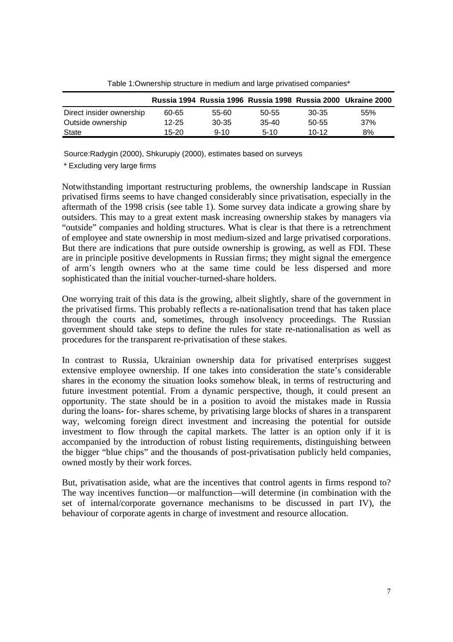|                          |           |          |           |           | Russia 1994 Russia 1996 Russia 1998 Russia 2000 Ukraine 2000 |
|--------------------------|-----------|----------|-----------|-----------|--------------------------------------------------------------|
| Direct insider ownership | 60-65     | 55-60    | $50 - 55$ | 30-35     | 55%                                                          |
| Outside ownership        | $12 - 25$ | 30-35    | $35-40$   | 50-55     | 37%                                                          |
| State                    | 15-20     | $9 - 10$ | $5-10$    | $10 - 12$ | 8%                                                           |

Table 1:Ownership structure in medium and large privatised companies\*

Source:Radygin (2000), Shkurupiy (2000), estimates based on surveys

\* Excluding very large firms

Notwithstanding important restructuring problems, the ownership landscape in Russian privatised firms seems to have changed considerably since privatisation, especially in the aftermath of the 1998 crisis (see table 1). Some survey data indicate a growing share by outsiders. This may to a great extent mask increasing ownership stakes by managers via "outside" companies and holding structures. What is clear is that there is a retrenchment of employee and state ownership in most medium-sized and large privatised corporations. But there are indications that pure outside ownership is growing, as well as FDI. These are in principle positive developments in Russian firms; they might signal the emergence of arm's length owners who at the same time could be less dispersed and more sophisticated than the initial voucher-turned-share holders.

One worrying trait of this data is the growing, albeit slightly, share of the government in the privatised firms. This probably reflects a re-nationalisation trend that has taken place through the courts and, sometimes, through insolvency proceedings. The Russian government should take steps to define the rules for state re-nationalisation as well as procedures for the transparent re-privatisation of these stakes.

In contrast to Russia, Ukrainian ownership data for privatised enterprises suggest extensive employee ownership. If one takes into consideration the state's considerable shares in the economy the situation looks somehow bleak, in terms of restructuring and future investment potential. From a dynamic perspective, though, it could present an opportunity. The state should be in a position to avoid the mistakes made in Russia during the loans- for- shares scheme, by privatising large blocks of shares in a transparent way, welcoming foreign direct investment and increasing the potential for outside investment to flow through the capital markets. The latter is an option only if it is accompanied by the introduction of robust listing requirements, distinguishing between the bigger "blue chips" and the thousands of post-privatisation publicly held companies, owned mostly by their work forces.

But, privatisation aside, what are the incentives that control agents in firms respond to? The way incentives function—or malfunction—will determine (in combination with the set of internal/corporate governance mechanisms to be discussed in part IV), the behaviour of corporate agents in charge of investment and resource allocation.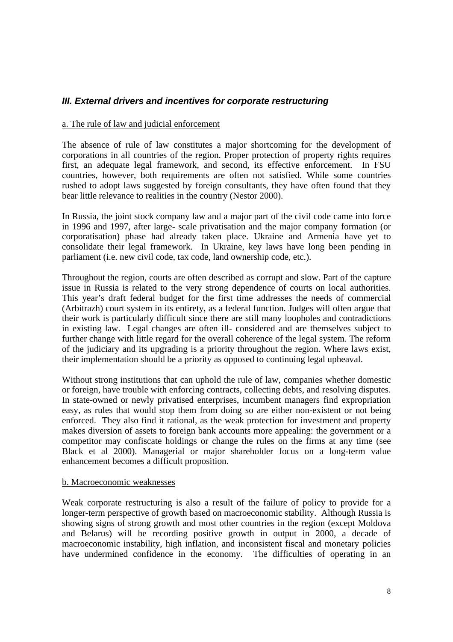# **III. External drivers and incentives for corporate restructuring**

#### a. The rule of law and judicial enforcement

The absence of rule of law constitutes a major shortcoming for the development of corporations in all countries of the region. Proper protection of property rights requires first, an adequate legal framework, and second, its effective enforcement. In FSU countries, however, both requirements are often not satisfied. While some countries rushed to adopt laws suggested by foreign consultants, they have often found that they bear little relevance to realities in the country (Nestor 2000).

In Russia, the joint stock company law and a major part of the civil code came into force in 1996 and 1997, after large- scale privatisation and the major company formation (or corporatisation) phase had already taken place. Ukraine and Armenia have yet to consolidate their legal framework. In Ukraine, key laws have long been pending in parliament (i.e. new civil code, tax code, land ownership code, etc.).

Throughout the region, courts are often described as corrupt and slow. Part of the capture issue in Russia is related to the very strong dependence of courts on local authorities. This year's draft federal budget for the first time addresses the needs of commercial (Arbitrazh) court system in its entirety, as a federal function. Judges will often argue that their work is particularly difficult since there are still many loopholes and contradictions in existing law. Legal changes are often ill- considered and are themselves subject to further change with little regard for the overall coherence of the legal system. The reform of the judiciary and its upgrading is a priority throughout the region. Where laws exist, their implementation should be a priority as opposed to continuing legal upheaval.

Without strong institutions that can uphold the rule of law, companies whether domestic or foreign, have trouble with enforcing contracts, collecting debts, and resolving disputes. In state-owned or newly privatised enterprises, incumbent managers find expropriation easy, as rules that would stop them from doing so are either non-existent or not being enforced. They also find it rational, as the weak protection for investment and property makes diversion of assets to foreign bank accounts more appealing: the government or a competitor may confiscate holdings or change the rules on the firms at any time (see Black et al 2000). Managerial or major shareholder focus on a long-term value enhancement becomes a difficult proposition.

#### b. Macroeconomic weaknesses

Weak corporate restructuring is also a result of the failure of policy to provide for a longer-term perspective of growth based on macroeconomic stability. Although Russia is showing signs of strong growth and most other countries in the region (except Moldova and Belarus) will be recording positive growth in output in 2000, a decade of macroeconomic instability, high inflation, and inconsistent fiscal and monetary policies have undermined confidence in the economy. The difficulties of operating in an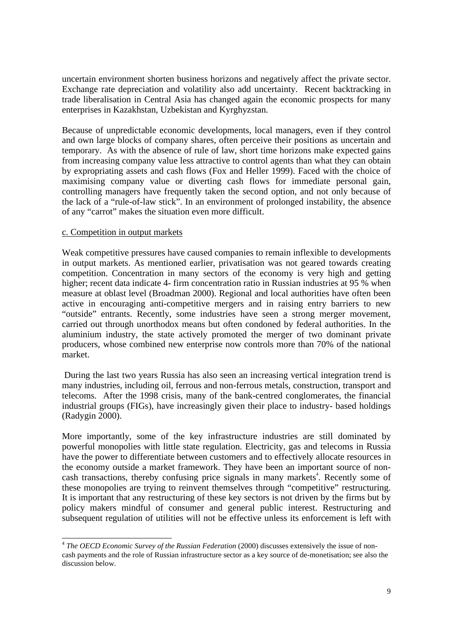uncertain environment shorten business horizons and negatively affect the private sector. Exchange rate depreciation and volatility also add uncertainty. Recent backtracking in trade liberalisation in Central Asia has changed again the economic prospects for many enterprises in Kazakhstan, Uzbekistan and Kyrghyzstan.

Because of unpredictable economic developments, local managers, even if they control and own large blocks of company shares, often perceive their positions as uncertain and temporary. As with the absence of rule of law, short time horizons make expected gains from increasing company value less attractive to control agents than what they can obtain by expropriating assets and cash flows (Fox and Heller 1999). Faced with the choice of maximising company value or diverting cash flows for immediate personal gain, controlling managers have frequently taken the second option, and not only because of the lack of a "rule-of-law stick". In an environment of prolonged instability, the absence of any "carrot" makes the situation even more difficult.

## c. Competition in output markets

Weak competitive pressures have caused companies to remain inflexible to developments in output markets. As mentioned earlier, privatisation was not geared towards creating competition. Concentration in many sectors of the economy is very high and getting higher; recent data indicate 4- firm concentration ratio in Russian industries at 95 % when measure at oblast level (Broadman 2000). Regional and local authorities have often been active in encouraging anti-competitive mergers and in raising entry barriers to new "outside" entrants. Recently, some industries have seen a strong merger movement, carried out through unorthodox means but often condoned by federal authorities. In the aluminium industry, the state actively promoted the merger of two dominant private producers, whose combined new enterprise now controls more than 70% of the national market.

During the last two years Russia has also seen an increasing vertical integration trend is many industries, including oil, ferrous and non-ferrous metals, construction, transport and telecoms. After the 1998 crisis, many of the bank-centred conglomerates, the financial industrial groups (FIGs), have increasingly given their place to industry- based holdings (Radygin 2000).

More importantly, some of the key infrastructure industries are still dominated by powerful monopolies with little state regulation. Electricity, gas and telecoms in Russia have the power to differentiate between customers and to effectively allocate resources in the economy outside a market framework. They have been an important source of noncash transactions, thereby confusing price signals in many markets<sup>4</sup>. Recently some of these monopolies are trying to reinvent themselves through "competitive" restructuring. It is important that any restructuring of these key sectors is not driven by the firms but by policy makers mindful of consumer and general public interest. Restructuring and subsequent regulation of utilities will not be effective unless its enforcement is left with

<sup>4</sup> *The OECD Economic Survey of the Russian Federation* (2000) discusses extensively the issue of noncash payments and the role of Russian infrastructure sector as a key source of de-monetisation; see also the discussion below.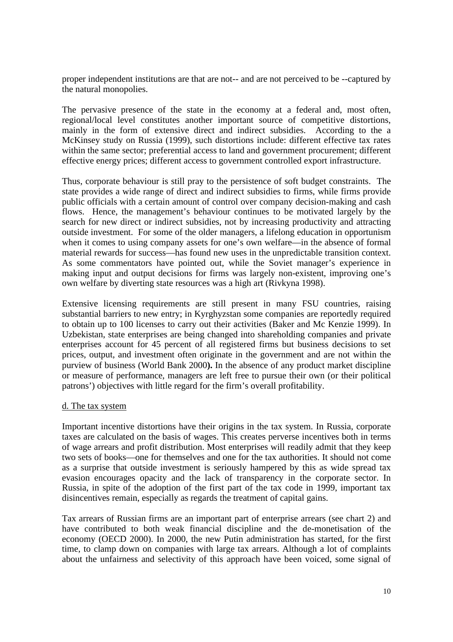proper independent institutions are that are not-- and are not perceived to be --captured by the natural monopolies.

The pervasive presence of the state in the economy at a federal and, most often, regional/local level constitutes another important source of competitive distortions, mainly in the form of extensive direct and indirect subsidies. According to the a McKinsey study on Russia (1999), such distortions include: different effective tax rates within the same sector; preferential access to land and government procurement; different effective energy prices; different access to government controlled export infrastructure.

Thus, corporate behaviour is still pray to the persistence of soft budget constraints. The state provides a wide range of direct and indirect subsidies to firms, while firms provide public officials with a certain amount of control over company decision-making and cash flows. Hence, the management's behaviour continues to be motivated largely by the search for new direct or indirect subsidies, not by increasing productivity and attracting outside investment. For some of the older managers, a lifelong education in opportunism when it comes to using company assets for one's own welfare—in the absence of formal material rewards for success—has found new uses in the unpredictable transition context. As some commentators have pointed out, while the Soviet manager's experience in making input and output decisions for firms was largely non-existent, improving one's own welfare by diverting state resources was a high art (Rivkyna 1998).

Extensive licensing requirements are still present in many FSU countries, raising substantial barriers to new entry; in Kyrghyzstan some companies are reportedly required to obtain up to 100 licenses to carry out their activities (Baker and Mc Kenzie 1999). In Uzbekistan, state enterprises are being changed into shareholding companies and private enterprises account for 45 percent of all registered firms but business decisions to set prices, output, and investment often originate in the government and are not within the purview of business (World Bank 2000**).** In the absence of any product market discipline or measure of performance, managers are left free to pursue their own (or their political patrons') objectives with little regard for the firm's overall profitability.

#### d. The tax system

Important incentive distortions have their origins in the tax system. In Russia, corporate taxes are calculated on the basis of wages. This creates perverse incentives both in terms of wage arrears and profit distribution. Most enterprises will readily admit that they keep two sets of books—one for themselves and one for the tax authorities. It should not come as a surprise that outside investment is seriously hampered by this as wide spread tax evasion encourages opacity and the lack of transparency in the corporate sector. In Russia, in spite of the adoption of the first part of the tax code in 1999, important tax disincentives remain, especially as regards the treatment of capital gains.

Tax arrears of Russian firms are an important part of enterprise arrears (see chart 2) and have contributed to both weak financial discipline and the de-monetisation of the economy (OECD 2000). In 2000, the new Putin administration has started, for the first time, to clamp down on companies with large tax arrears. Although a lot of complaints about the unfairness and selectivity of this approach have been voiced, some signal of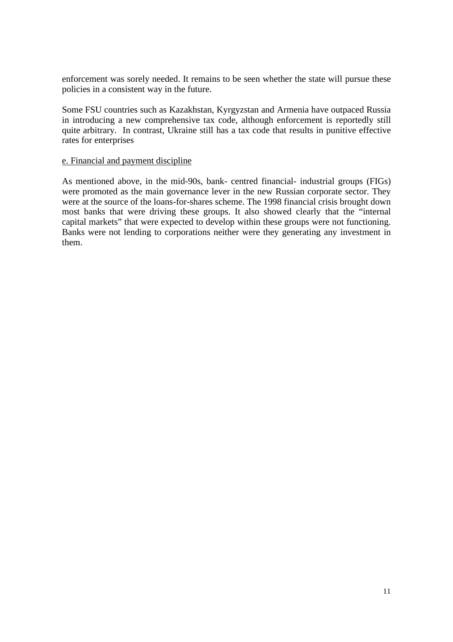enforcement was sorely needed. It remains to be seen whether the state will pursue these policies in a consistent way in the future.

Some FSU countries such as Kazakhstan, Kyrgyzstan and Armenia have outpaced Russia in introducing a new comprehensive tax code, although enforcement is reportedly still quite arbitrary. In contrast, Ukraine still has a tax code that results in punitive effective rates for enterprises

#### e. Financial and payment discipline

As mentioned above, in the mid-90s, bank- centred financial- industrial groups (FIGs) were promoted as the main governance lever in the new Russian corporate sector. They were at the source of the loans-for-shares scheme. The 1998 financial crisis brought down most banks that were driving these groups. It also showed clearly that the "internal capital markets" that were expected to develop within these groups were not functioning. Banks were not lending to corporations neither were they generating any investment in them.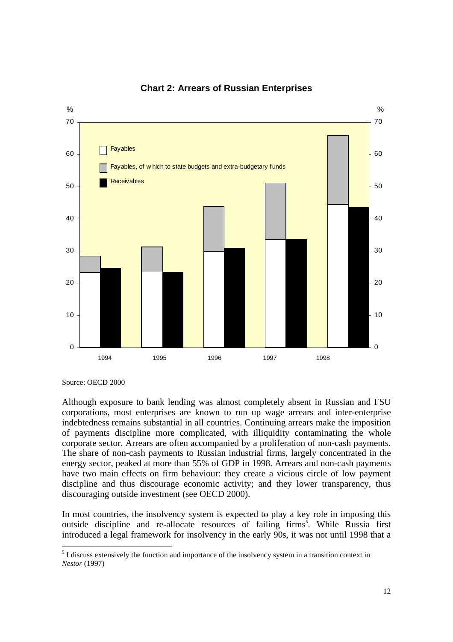

**Chart 2: Arrears of Russian Enterprises**

Source: OECD 2000

Although exposure to bank lending was almost completely absent in Russian and FSU corporations, most enterprises are known to run up wage arrears and inter-enterprise indebtedness remains substantial in all countries. Continuing arrears make the imposition of payments discipline more complicated, with illiquidity contaminating the whole corporate sector. Arrears are often accompanied by a proliferation of non-cash payments. The share of non-cash payments to Russian industrial firms, largely concentrated in the energy sector, peaked at more than 55% of GDP in 1998. Arrears and non-cash payments have two main effects on firm behaviour: they create a vicious circle of low payment discipline and thus discourage economic activity; and they lower transparency, thus discouraging outside investment (see OECD 2000).

In most countries, the insolvency system is expected to play a key role in imposing this outside discipline and re-allocate resources of failing firms<sup>5</sup>. While Russia first introduced a legal framework for insolvency in the early 90s, it was not until 1998 that a

<sup>&</sup>lt;sup>5</sup> I discuss extensively the function and importance of the insolvency system in a transition context in *Nestor* (1997)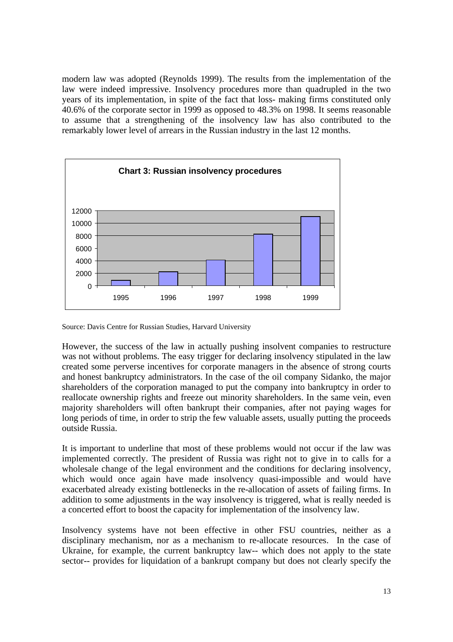modern law was adopted (Reynolds 1999). The results from the implementation of the law were indeed impressive. Insolvency procedures more than quadrupled in the two years of its implementation, in spite of the fact that loss- making firms constituted only 40.6% of the corporate sector in 1999 as opposed to 48.3% on 1998. It seems reasonable to assume that a strengthening of the insolvency law has also contributed to the remarkably lower level of arrears in the Russian industry in the last 12 months.



Source: Davis Centre for Russian Studies, Harvard University

However, the success of the law in actually pushing insolvent companies to restructure was not without problems. The easy trigger for declaring insolvency stipulated in the law created some perverse incentives for corporate managers in the absence of strong courts and honest bankruptcy administrators. In the case of the oil company Sidanko, the major shareholders of the corporation managed to put the company into bankruptcy in order to reallocate ownership rights and freeze out minority shareholders. In the same vein, even majority shareholders will often bankrupt their companies, after not paying wages for long periods of time, in order to strip the few valuable assets, usually putting the proceeds outside Russia.

It is important to underline that most of these problems would not occur if the law was implemented correctly. The president of Russia was right not to give in to calls for a wholesale change of the legal environment and the conditions for declaring insolvency, which would once again have made insolvency quasi-impossible and would have exacerbated already existing bottlenecks in the re-allocation of assets of failing firms. In addition to some adjustments in the way insolvency is triggered, what is really needed is a concerted effort to boost the capacity for implementation of the insolvency law.

Insolvency systems have not been effective in other FSU countries, neither as a disciplinary mechanism, nor as a mechanism to re-allocate resources. In the case of Ukraine, for example, the current bankruptcy law-- which does not apply to the state sector-- provides for liquidation of a bankrupt company but does not clearly specify the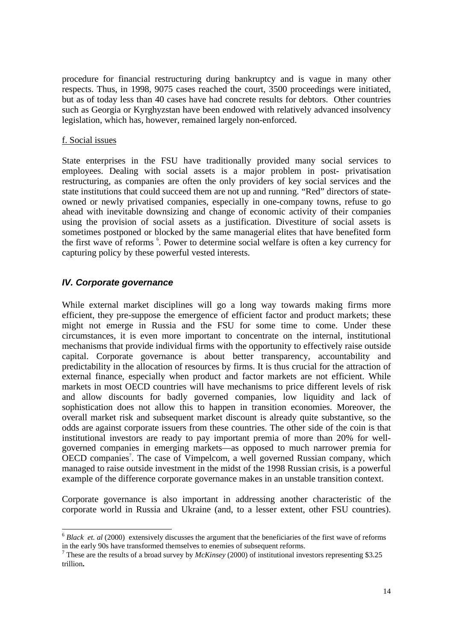procedure for financial restructuring during bankruptcy and is vague in many other respects. Thus, in 1998, 9075 cases reached the court, 3500 proceedings were initiated, but as of today less than 40 cases have had concrete results for debtors. Other countries such as Georgia or Kyrghyzstan have been endowed with relatively advanced insolvency legislation, which has, however, remained largely non-enforced.

#### f. Social issues

State enterprises in the FSU have traditionally provided many social services to employees. Dealing with social assets is a major problem in post- privatisation restructuring, as companies are often the only providers of key social services and the state institutions that could succeed them are not up and running. "Red" directors of stateowned or newly privatised companies, especially in one-company towns, refuse to go ahead with inevitable downsizing and change of economic activity of their companies using the provision of social assets as a justification. Divestiture of social assets is sometimes postponed or blocked by the same managerial elites that have benefited form the first wave of reforms  $\degree$ . Power to determine social welfare is often a key currency for capturing policy by these powerful vested interests.

## **IV. Corporate governance**

While external market disciplines will go a long way towards making firms more efficient, they pre-suppose the emergence of efficient factor and product markets; these might not emerge in Russia and the FSU for some time to come. Under these circumstances, it is even more important to concentrate on the internal, institutional mechanisms that provide individual firms with the opportunity to effectively raise outside capital. Corporate governance is about better transparency, accountability and predictability in the allocation of resources by firms. It is thus crucial for the attraction of external finance, especially when product and factor markets are not efficient. While markets in most OECD countries will have mechanisms to price different levels of risk and allow discounts for badly governed companies, low liquidity and lack of sophistication does not allow this to happen in transition economies. Moreover, the overall market risk and subsequent market discount is already quite substantive, so the odds are against corporate issuers from these countries. The other side of the coin is that institutional investors are ready to pay important premia of more than 20% for wellgoverned companies in emerging markets—as opposed to much narrower premia for OECD companies<sup>7</sup>. The case of Vimpelcom, a well governed Russian company, which managed to raise outside investment in the midst of the 1998 Russian crisis, is a powerful example of the difference corporate governance makes in an unstable transition context.

Corporate governance is also important in addressing another characteristic of the corporate world in Russia and Ukraine (and, to a lesser extent, other FSU countries).

<sup>6</sup> *Black et. al* (2000) extensively discusses the argument that the beneficiaries of the first wave of reforms in the early 90s have transformed themselves to enemies of subsequent reforms.

<sup>7</sup> These are the results of a broad survey by *McKinsey* (2000) of institutional investors representing \$3.25 trillion**.**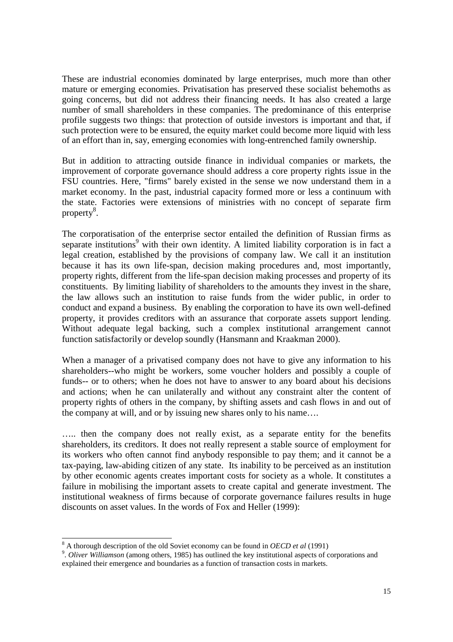These are industrial economies dominated by large enterprises, much more than other mature or emerging economies. Privatisation has preserved these socialist behemoths as going concerns, but did not address their financing needs. It has also created a large number of small shareholders in these companies. The predominance of this enterprise profile suggests two things: that protection of outside investors is important and that, if such protection were to be ensured, the equity market could become more liquid with less of an effort than in, say, emerging economies with long-entrenched family ownership.

But in addition to attracting outside finance in individual companies or markets, the improvement of corporate governance should address a core property rights issue in the FSU countries. Here, "firms" barely existed in the sense we now understand them in a market economy. In the past, industrial capacity formed more or less a continuum with the state. Factories were extensions of ministries with no concept of separate firm property<sup>8</sup>.

The corporatisation of the enterprise sector entailed the definition of Russian firms as separate institutions<sup>9</sup> with their own identity. A limited liability corporation is in fact a legal creation, established by the provisions of company law. We call it an institution because it has its own life-span, decision making procedures and, most importantly, property rights, different from the life-span decision making processes and property of its constituents. By limiting liability of shareholders to the amounts they invest in the share, the law allows such an institution to raise funds from the wider public, in order to conduct and expand a business. By enabling the corporation to have its own well-defined property, it provides creditors with an assurance that corporate assets support lending. Without adequate legal backing, such a complex institutional arrangement cannot function satisfactorily or develop soundly (Hansmann and Kraakman 2000).

When a manager of a privatised company does not have to give any information to his shareholders--who might be workers, some voucher holders and possibly a couple of funds-- or to others; when he does not have to answer to any board about his decisions and actions; when he can unilaterally and without any constraint alter the content of property rights of others in the company, by shifting assets and cash flows in and out of the company at will, and or by issuing new shares only to his name….

….. then the company does not really exist, as a separate entity for the benefits shareholders, its creditors. It does not really represent a stable source of employment for its workers who often cannot find anybody responsible to pay them; and it cannot be a tax-paying, law-abiding citizen of any state. Its inability to be perceived as an institution by other economic agents creates important costs for society as a whole. It constitutes a failure in mobilising the important assets to create capital and generate investment. The institutional weakness of firms because of corporate governance failures results in huge discounts on asset values. In the words of Fox and Heller (1999):

 $8$  A thorough description of the old Soviet economy can be found in *OECD et al* (1991)

<sup>&</sup>lt;sup>9</sup>. Oliver Williamson (among others, 1985) has outlined the key institutional aspects of corporations and explained their emergence and boundaries as a function of transaction costs in markets.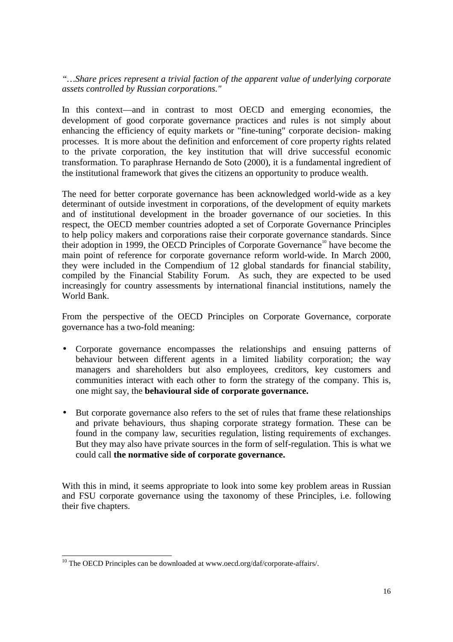*"…Share prices represent a trivial faction of the apparent value of underlying corporate assets controlled by Russian corporations."*

In this context—and in contrast to most OECD and emerging economies, the development of good corporate governance practices and rules is not simply about enhancing the efficiency of equity markets or "fine-tuning" corporate decision- making processes. It is more about the definition and enforcement of core property rights related to the private corporation, the key institution that will drive successful economic transformation. To paraphrase Hernando de Soto (2000), it is a fundamental ingredient of the institutional framework that gives the citizens an opportunity to produce wealth.

The need for better corporate governance has been acknowledged world-wide as a key determinant of outside investment in corporations, of the development of equity markets and of institutional development in the broader governance of our societies. In this respect, the OECD member countries adopted a set of Corporate Governance Principles to help policy makers and corporations raise their corporate governance standards. Since their adoption in 1999, the OECD Principles of Corporate Governance<sup>10</sup> have become the main point of reference for corporate governance reform world-wide. In March 2000, they were included in the Compendium of 12 global standards for financial stability, compiled by the Financial Stability Forum. As such, they are expected to be used increasingly for country assessments by international financial institutions, namely the World Bank.

From the perspective of the OECD Principles on Corporate Governance, corporate governance has a two-fold meaning:

- Corporate governance encompasses the relationships and ensuing patterns of behaviour between different agents in a limited liability corporation; the way managers and shareholders but also employees, creditors, key customers and communities interact with each other to form the strategy of the company. This is, one might say, the **behavioural side of corporate governance.**
- But corporate governance also refers to the set of rules that frame these relationships and private behaviours, thus shaping corporate strategy formation. These can be found in the company law, securities regulation, listing requirements of exchanges. But they may also have private sources in the form of self-regulation. This is what we could call **the normative side of corporate governance.**

With this in mind, it seems appropriate to look into some key problem areas in Russian and FSU corporate governance using the taxonomy of these Principles, i.e. following their five chapters.

<sup>&</sup>lt;sup>10</sup> The OECD Principles can be downloaded at www.oecd.org/daf/corporate-affairs/.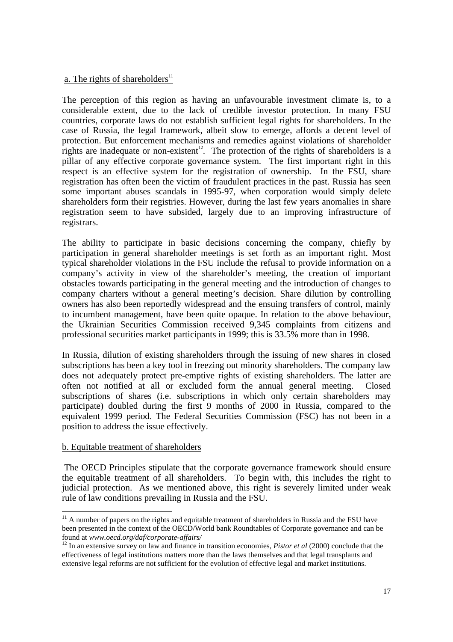## a. The rights of shareholders $11$

The perception of this region as having an unfavourable investment climate is, to a considerable extent, due to the lack of credible investor protection. In many FSU countries, corporate laws do not establish sufficient legal rights for shareholders. In the case of Russia, the legal framework, albeit slow to emerge, affords a decent level of protection. But enforcement mechanisms and remedies against violations of shareholder rights are inadequate or non-existent<sup>12</sup>. The protection of the rights of shareholders is a pillar of any effective corporate governance system. The first important right in this respect is an effective system for the registration of ownership. In the FSU, share registration has often been the victim of fraudulent practices in the past. Russia has seen some important abuses scandals in 1995-97, when corporation would simply delete shareholders form their registries. However, during the last few years anomalies in share registration seem to have subsided, largely due to an improving infrastructure of registrars.

The ability to participate in basic decisions concerning the company, chiefly by participation in general shareholder meetings is set forth as an important right. Most typical shareholder violations in the FSU include the refusal to provide information on a company's activity in view of the shareholder's meeting, the creation of important obstacles towards participating in the general meeting and the introduction of changes to company charters without a general meeting's decision. Share dilution by controlling owners has also been reportedly widespread and the ensuing transfers of control, mainly to incumbent management, have been quite opaque. In relation to the above behaviour, the Ukrainian Securities Commission received 9,345 complaints from citizens and professional securities market participants in 1999; this is 33.5% more than in 1998.

In Russia, dilution of existing shareholders through the issuing of new shares in closed subscriptions has been a key tool in freezing out minority shareholders. The company law does not adequately protect pre-emptive rights of existing shareholders. The latter are often not notified at all or excluded form the annual general meeting. Closed subscriptions of shares (i.e. subscriptions in which only certain shareholders may participate) doubled during the first 9 months of 2000 in Russia, compared to the equivalent 1999 period. The Federal Securities Commission (FSC) has not been in a position to address the issue effectively.

## b. Equitable treatment of shareholders

The OECD Principles stipulate that the corporate governance framework should ensure the equitable treatment of all shareholders. To begin with, this includes the right to judicial protection. As we mentioned above, this right is severely limited under weak rule of law conditions prevailing in Russia and the FSU.

 $11$  A number of papers on the rights and equitable treatment of shareholders in Russia and the FSU have been presented in the context of the OECD/World bank Roundtables of Corporate governance and can be found at *www.oecd.org/daf/corporate-affairs/* <sup>12</sup> In an extensive survey on law and finance in transition economies, *Pistor et al* (2000) conclude that the

effectiveness of legal institutions matters more than the laws themselves and that legal transplants and extensive legal reforms are not sufficient for the evolution of effective legal and market institutions.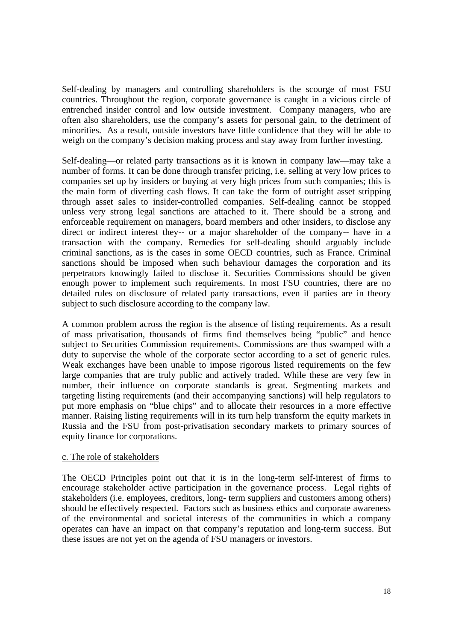Self-dealing by managers and controlling shareholders is the scourge of most FSU countries. Throughout the region, corporate governance is caught in a vicious circle of entrenched insider control and low outside investment. Company managers, who are often also shareholders, use the company's assets for personal gain, to the detriment of minorities. As a result, outside investors have little confidence that they will be able to weigh on the company's decision making process and stay away from further investing.

Self-dealing—or related party transactions as it is known in company law—may take a number of forms. It can be done through transfer pricing, i.e. selling at very low prices to companies set up by insiders or buying at very high prices from such companies; this is the main form of diverting cash flows. It can take the form of outright asset stripping through asset sales to insider-controlled companies. Self-dealing cannot be stopped unless very strong legal sanctions are attached to it. There should be a strong and enforceable requirement on managers, board members and other insiders, to disclose any direct or indirect interest they-- or a major shareholder of the company-- have in a transaction with the company. Remedies for self-dealing should arguably include criminal sanctions, as is the cases in some OECD countries, such as France. Criminal sanctions should be imposed when such behaviour damages the corporation and its perpetrators knowingly failed to disclose it. Securities Commissions should be given enough power to implement such requirements. In most FSU countries, there are no detailed rules on disclosure of related party transactions, even if parties are in theory subject to such disclosure according to the company law.

A common problem across the region is the absence of listing requirements. As a result of mass privatisation, thousands of firms find themselves being "public" and hence subject to Securities Commission requirements. Commissions are thus swamped with a duty to supervise the whole of the corporate sector according to a set of generic rules. Weak exchanges have been unable to impose rigorous listed requirements on the few large companies that are truly public and actively traded. While these are very few in number, their influence on corporate standards is great. Segmenting markets and targeting listing requirements (and their accompanying sanctions) will help regulators to put more emphasis on "blue chips" and to allocate their resources in a more effective manner. Raising listing requirements will in its turn help transform the equity markets in Russia and the FSU from post-privatisation secondary markets to primary sources of equity finance for corporations.

## c. The role of stakeholders

The OECD Principles point out that it is in the long-term self-interest of firms to encourage stakeholder active participation in the governance process. Legal rights of stakeholders (i.e. employees, creditors, long- term suppliers and customers among others) should be effectively respected. Factors such as business ethics and corporate awareness of the environmental and societal interests of the communities in which a company operates can have an impact on that company's reputation and long-term success. But these issues are not yet on the agenda of FSU managers or investors.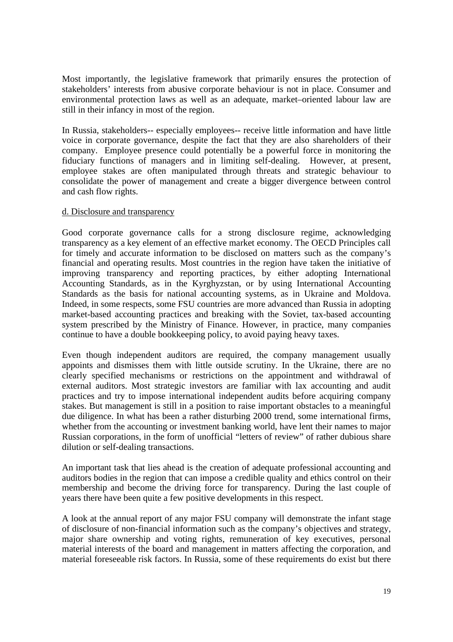Most importantly, the legislative framework that primarily ensures the protection of stakeholders' interests from abusive corporate behaviour is not in place. Consumer and environmental protection laws as well as an adequate, market–oriented labour law are still in their infancy in most of the region.

In Russia, stakeholders-- especially employees-- receive little information and have little voice in corporate governance, despite the fact that they are also shareholders of their company. Employee presence could potentially be a powerful force in monitoring the fiduciary functions of managers and in limiting self-dealing. However, at present, employee stakes are often manipulated through threats and strategic behaviour to consolidate the power of management and create a bigger divergence between control and cash flow rights.

#### d. Disclosure and transparency

Good corporate governance calls for a strong disclosure regime, acknowledging transparency as a key element of an effective market economy. The OECD Principles call for timely and accurate information to be disclosed on matters such as the company's financial and operating results. Most countries in the region have taken the initiative of improving transparency and reporting practices, by either adopting International Accounting Standards, as in the Kyrghyzstan, or by using International Accounting Standards as the basis for national accounting systems, as in Ukraine and Moldova. Indeed, in some respects, some FSU countries are more advanced than Russia in adopting market-based accounting practices and breaking with the Soviet, tax-based accounting system prescribed by the Ministry of Finance. However, in practice, many companies continue to have a double bookkeeping policy, to avoid paying heavy taxes.

Even though independent auditors are required, the company management usually appoints and dismisses them with little outside scrutiny. In the Ukraine, there are no clearly specified mechanisms or restrictions on the appointment and withdrawal of external auditors. Most strategic investors are familiar with lax accounting and audit practices and try to impose international independent audits before acquiring company stakes. But management is still in a position to raise important obstacles to a meaningful due diligence. In what has been a rather disturbing 2000 trend, some international firms, whether from the accounting or investment banking world, have lent their names to major Russian corporations, in the form of unofficial "letters of review" of rather dubious share dilution or self-dealing transactions.

An important task that lies ahead is the creation of adequate professional accounting and auditors bodies in the region that can impose a credible quality and ethics control on their membership and become the driving force for transparency. During the last couple of years there have been quite a few positive developments in this respect.

A look at the annual report of any major FSU company will demonstrate the infant stage of disclosure of non-financial information such as the company's objectives and strategy, major share ownership and voting rights, remuneration of key executives, personal material interests of the board and management in matters affecting the corporation, and material foreseeable risk factors. In Russia, some of these requirements do exist but there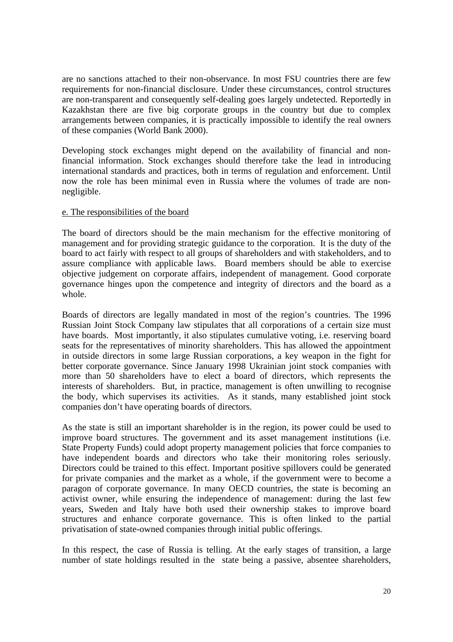are no sanctions attached to their non-observance. In most FSU countries there are few requirements for non-financial disclosure. Under these circumstances, control structures are non-transparent and consequently self-dealing goes largely undetected. Reportedly in Kazakhstan there are five big corporate groups in the country but due to complex arrangements between companies, it is practically impossible to identify the real owners of these companies (World Bank 2000).

Developing stock exchanges might depend on the availability of financial and nonfinancial information. Stock exchanges should therefore take the lead in introducing international standards and practices, both in terms of regulation and enforcement. Until now the role has been minimal even in Russia where the volumes of trade are nonnegligible.

#### e. The responsibilities of the board

The board of directors should be the main mechanism for the effective monitoring of management and for providing strategic guidance to the corporation. It is the duty of the board to act fairly with respect to all groups of shareholders and with stakeholders, and to assure compliance with applicable laws. Board members should be able to exercise objective judgement on corporate affairs, independent of management. Good corporate governance hinges upon the competence and integrity of directors and the board as a whole.

Boards of directors are legally mandated in most of the region's countries. The 1996 Russian Joint Stock Company law stipulates that all corporations of a certain size must have boards. Most importantly, it also stipulates cumulative voting, i.e. reserving board seats for the representatives of minority shareholders. This has allowed the appointment in outside directors in some large Russian corporations, a key weapon in the fight for better corporate governance. Since January 1998 Ukrainian joint stock companies with more than 50 shareholders have to elect a board of directors, which represents the interests of shareholders. But, in practice, management is often unwilling to recognise the body, which supervises its activities. As it stands, many established joint stock companies don't have operating boards of directors.

As the state is still an important shareholder is in the region, its power could be used to improve board structures. The government and its asset management institutions (i.e. State Property Funds) could adopt property management policies that force companies to have independent boards and directors who take their monitoring roles seriously. Directors could be trained to this effect. Important positive spillovers could be generated for private companies and the market as a whole, if the government were to become a paragon of corporate governance. In many OECD countries, the state is becoming an activist owner, while ensuring the independence of management: during the last few years, Sweden and Italy have both used their ownership stakes to improve board structures and enhance corporate governance. This is often linked to the partial privatisation of state-owned companies through initial public offerings.

In this respect, the case of Russia is telling. At the early stages of transition, a large number of state holdings resulted in the state being a passive, absentee shareholders,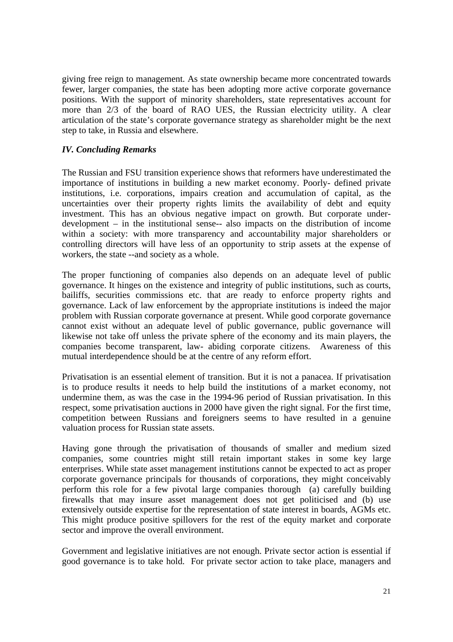giving free reign to management. As state ownership became more concentrated towards fewer, larger companies, the state has been adopting more active corporate governance positions. With the support of minority shareholders, state representatives account for more than 2/3 of the board of RAO UES, the Russian electricity utility. A clear articulation of the state's corporate governance strategy as shareholder might be the next step to take, in Russia and elsewhere.

## *IV. Concluding Remarks*

The Russian and FSU transition experience shows that reformers have underestimated the importance of institutions in building a new market economy. Poorly- defined private institutions, i.e. corporations, impairs creation and accumulation of capital, as the uncertainties over their property rights limits the availability of debt and equity investment. This has an obvious negative impact on growth. But corporate underdevelopment – in the institutional sense-- also impacts on the distribution of income within a society: with more transparency and accountability major shareholders or controlling directors will have less of an opportunity to strip assets at the expense of workers, the state --and society as a whole.

The proper functioning of companies also depends on an adequate level of public governance. It hinges on the existence and integrity of public institutions, such as courts, bailiffs, securities commissions etc. that are ready to enforce property rights and governance. Lack of law enforcement by the appropriate institutions is indeed the major problem with Russian corporate governance at present. While good corporate governance cannot exist without an adequate level of public governance, public governance will likewise not take off unless the private sphere of the economy and its main players, the companies become transparent, law- abiding corporate citizens. Awareness of this mutual interdependence should be at the centre of any reform effort.

Privatisation is an essential element of transition. But it is not a panacea. If privatisation is to produce results it needs to help build the institutions of a market economy, not undermine them, as was the case in the 1994-96 period of Russian privatisation. In this respect, some privatisation auctions in 2000 have given the right signal. For the first time, competition between Russians and foreigners seems to have resulted in a genuine valuation process for Russian state assets.

Having gone through the privatisation of thousands of smaller and medium sized companies, some countries might still retain important stakes in some key large enterprises. While state asset management institutions cannot be expected to act as proper corporate governance principals for thousands of corporations, they might conceivably perform this role for a few pivotal large companies thorough (a) carefully building firewalls that may insure asset management does not get politicised and (b) use extensively outside expertise for the representation of state interest in boards, AGMs etc. This might produce positive spillovers for the rest of the equity market and corporate sector and improve the overall environment.

Government and legislative initiatives are not enough. Private sector action is essential if good governance is to take hold. For private sector action to take place, managers and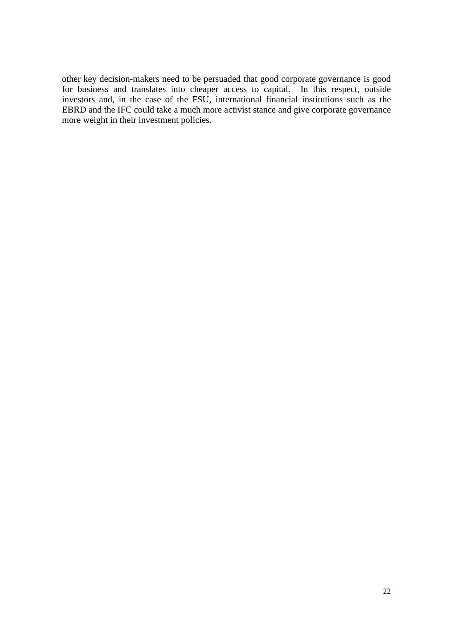other key decision-makers need to be persuaded that good corporate governance is good for business and translates into cheaper access to capital. In this respect, outside investors and, in the case of the FSU, international financial institutions such as the EBRD and the IFC could take a much more activist stance and give corporate governance more weight in their investment policies.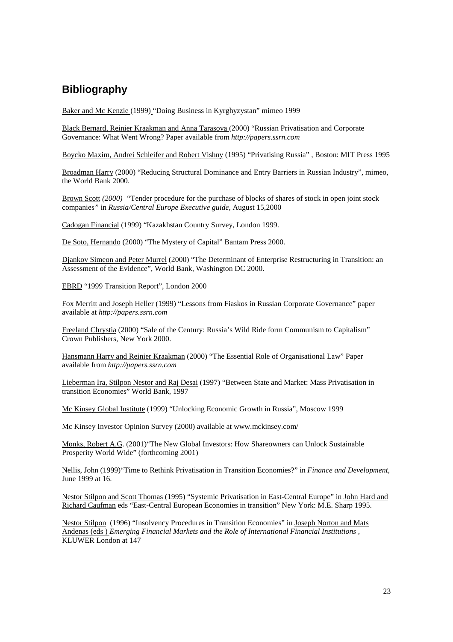# **Bibliography**

Baker and Mc Kenzie (1999) "Doing Business in Kyrghyzystan" mimeo 1999

Black Bernard, Reinier Kraakman and Anna Tarasova (2000) "Russian Privatisation and Corporate Governance: What Went Wrong? Paper available from *http://papers.ssrn.com*

Boycko Maxim, Andrei Schleifer and Robert Vishny (1995) "Privatising Russia" , Boston: MIT Press 1995

Broadman Harry (2000) "Reducing Structural Dominance and Entry Barriers in Russian Industry", mimeo, the World Bank 2000.

Brown Scott *(2000) "*Tender procedure for the purchase of blocks of shares of stock in open joint stock companies*"* in *Russia/Central Europe Executive guide*, August 15,2000

Cadogan Financial (1999) "Kazakhstan Country Survey, London 1999.

De Soto, Hernando (2000) "The Mystery of Capital" Bantam Press 2000.

Djankov Simeon and Peter Murrel (2000) "The Determinant of Enterprise Restructuring in Transition: an Assessment of the Evidence", World Bank, Washington DC 2000.

EBRD "1999 Transition Report", London 2000

Fox Merritt and Joseph Heller (1999) "Lessons from Fiaskos in Russian Corporate Governance" paper available at *http://papers.ssrn.com*

Freeland Chrystia (2000) "Sale of the Century: Russia's Wild Ride form Communism to Capitalism" Crown Publishers, New York 2000.

Hansmann Harry and Reinier Kraakman (2000) "The Essential Role of Organisational Law" Paper available from *http://papers.ssrn.com*

Lieberman Ira, Stilpon Nestor and Raj Desai (1997) "Between State and Market: Mass Privatisation in transition Economies" World Bank, 1997

Mc Kinsey Global Institute (1999) "Unlocking Economic Growth in Russia", Moscow 1999

Mc Kinsey Investor Opinion Survey (2000) available at www.mckinsey.com/

Monks, Robert A.G. (2001)"The New Global Investors: How Shareowners can Unlock Sustainable Prosperity World Wide" (forthcoming 2001)

Nellis, John (1999)"Time to Rethink Privatisation in Transition Economies?" in *Finance and Development*, June 1999 at 16.

Nestor Stilpon and Scott Thomas (1995) "Systemic Privatisation in East-Central Europe" in John Hard and Richard Caufman eds "East-Central European Economies in transition" New York: M.E. Sharp 1995.

Nestor Stilpon (1996) "Insolvency Procedures in Transition Economies" in Joseph Norton and Mats Andenas (eds ) *Emerging Financial Markets and the Role of International Financial Institutions ,* KLUWER London at 147